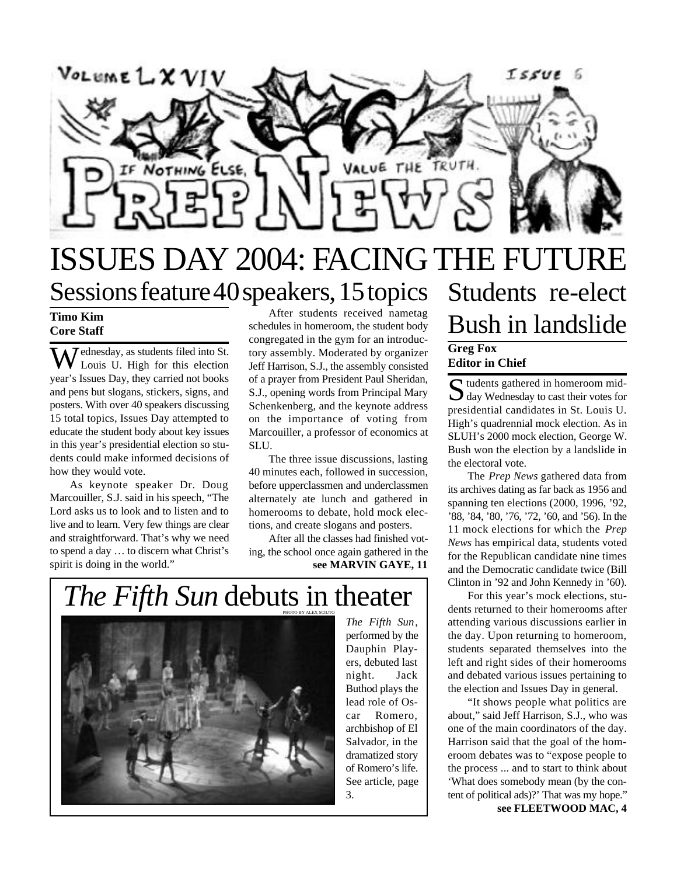

## ISSUES DAY 2004: FACING THE FUTURE Sessions feature 40 speakers, 15 topics Students re-elect

### **Timo Kim Core Staff**

Wednesday, as students filed into St.<br>Louis U. High for this election year's Issues Day, they carried not books and pens but slogans, stickers, signs, and posters. With over 40 speakers discussing 15 total topics, Issues Day attempted to educate the student body about key issues in this year's presidential election so students could make informed decisions of how they would vote.

As keynote speaker Dr. Doug Marcouiller, S.J. said in his speech, "The Lord asks us to look and to listen and to live and to learn. Very few things are clear and straightforward. That's why we need to spend a day … to discern what Christ's spirit is doing in the world."

After students received nametag schedules in homeroom, the student body congregated in the gym for an introductory assembly. Moderated by organizer Jeff Harrison, S.J., the assembly consisted of a prayer from President Paul Sheridan, S.J., opening words from Principal Mary Schenkenberg, and the keynote address on the importance of voting from Marcouiller, a professor of economics at SLU.

The three issue discussions, lasting 40 minutes each, followed in succession, before upperclassmen and underclassmen alternately ate lunch and gathered in homerooms to debate, hold mock elections, and create slogans and posters.

**see MARVIN GAYE, 11** After all the classes had finished voting, the school once again gathered in the

## *The Fifth Sun* debuts in theater



*The Fifth Sun*, performed by the Dauphin Players, debuted last night. Jack Buthod plays the lead role of Oscar Romero, archbishop of El Salvador, in the dramatized story of Romero's life. See article, page 3.

# Bush in landslide

### **Greg Fox Editor in Chief**

S tudents gathered in homeroom mid-<br>S day Wednesday to cast their votes for  $\bigcup$  day Wednesday to cast their votes for presidential candidates in St. Louis U. High's quadrennial mock election. As in SLUH's 2000 mock election, George W. Bush won the election by a landslide in the electoral vote.

The *Prep News* gathered data from its archives dating as far back as 1956 and spanning ten elections (2000, 1996, '92, '88, '84, '80, '76, '72, '60, and '56). In the 11 mock elections for which the *Prep News* has empirical data, students voted for the Republican candidate nine times and the Democratic candidate twice (Bill Clinton in '92 and John Kennedy in '60).

For this year's mock elections, students returned to their homerooms after attending various discussions earlier in the day. Upon returning to homeroom, students separated themselves into the left and right sides of their homerooms and debated various issues pertaining to the election and Issues Day in general.

"It shows people what politics are about," said Jeff Harrison, S.J., who was one of the main coordinators of the day. Harrison said that the goal of the homeroom debates was to "expose people to the process ... and to start to think about 'What does somebody mean (by the content of political ads)?' That was my hope."

**see FLEETWOOD MAC, 4**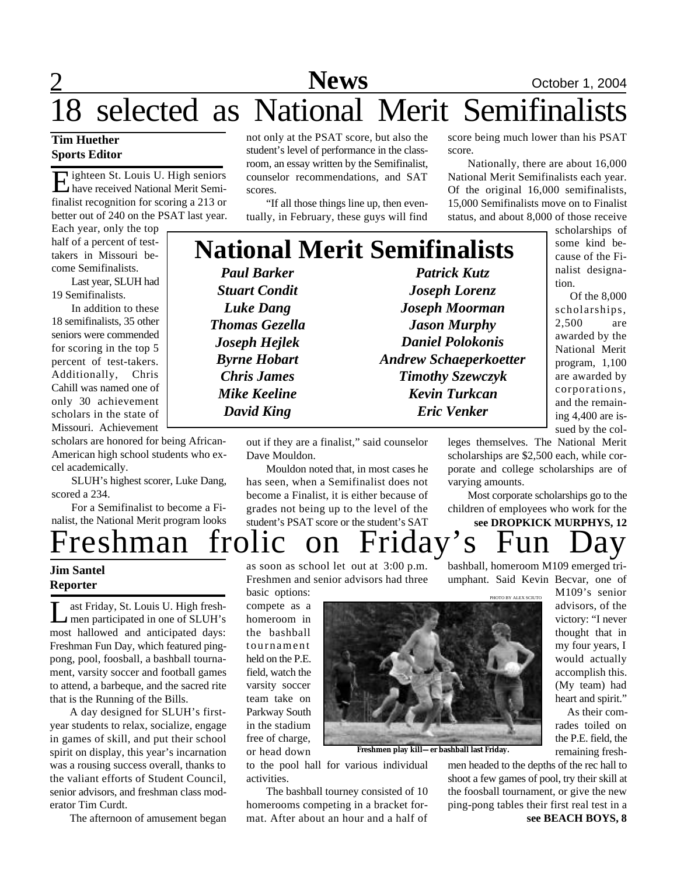## 2 **News** October 1, 2004 18 selected as National Merit Semifinalists

## **Tim Huether Sports Editor**

Eighteen St. Louis U. High seniors<br>have received National Merit Semi-I ighteen St. Louis U. High seniors finalist recognition for scoring a 213 or better out of 240 on the PSAT last year.

Each year, only the top half of a percent of testtakers in Missouri become Semifinalists.

Last year, SLUH had 19 Semifinalists.

In addition to these 18 semifinalists, 35 other seniors were commended for scoring in the top 5 percent of test-takers. Additionally, Chris Cahill was named one of only 30 achievement scholars in the state of Missouri. Achievement

scholars are honored for being African-American high school students who excel academically.

SLUH's highest scorer, Luke Dang, scored a 234.

For a Semifinalist to become a Finalist, the National Merit program looks not only at the PSAT score, but also the student's level of performance in the classroom, an essay written by the Semifinalist, counselor recommendations, and SAT scores.

"If all those things line up, then eventually, in February, these guys will find

score being much lower than his PSAT score.

Nationally, there are about 16,000 National Merit Semifinalists each year. Of the original 16,000 semifinalists, 15,000 Semifinalists move on to Finalist status, and about 8,000 of those receive

## **National Merit Semifinalists**

*Paul Barker Stuart Condit Luke Dang Thomas Gezella Joseph Hejlek Byrne Hobart Chris James Mike Keeline David King*

*Patrick Kutz Joseph Lorenz Joseph Moorman Jason Murphy Daniel Polokonis Andrew Schaeperkoetter Timothy Szewczyk Kevin Turkcan Eric Venker*

scholarships of some kind because of the Finalist designation.

 Of the 8,000 scholarships, 2,500 are awarded by the National Merit program, 1,100 are awarded by corporations, and the remaining 4,400 are issued by the col-

out if they are a finalist," said counselor Dave Mouldon.

Mouldon noted that, in most cases he has seen, when a Semifinalist does not become a Finalist, it is either because of grades not being up to the level of the student's PSAT score or the student's SAT

leges themselves. The National Merit scholarships are \$2,500 each, while corporate and college scholarships are of varying amounts.

Most corporate scholarships go to the children of employees who work for the **see DROPKICK MURPHYS, 12**

reshman frolic on Friday's

### **Jim Santel Reporter**

Last Friday, St. Louis U. High fresh-<br>men participated in one of SLUH's<br>most hallowed and anticipated days: ast Friday, St. Louis U. High freshmen participated in one of SLUH's Freshman Fun Day, which featured pingpong, pool, foosball, a bashball tournament, varsity soccer and football games to attend, a barbeque, and the sacred rite that is the Running of the Bills.

A day designed for SLUH's firstyear students to relax, socialize, engage in games of skill, and put their school spirit on display, this year's incarnation was a rousing success overall, thanks to the valiant efforts of Student Council, senior advisors, and freshman class moderator Tim Curdt.

The afternoon of amusement began

as soon as school let out at 3:00 p.m. Freshmen and senior advisors had three basic options:

compete as a homeroom in the bashball tournament held on the P.E. field, watch the varsity soccer team take on Parkway South in the stadium free of charge, or head down

to the pool hall for various individual activities.

The bashball tourney consisted of 10 homerooms competing in a bracket format. After about an hour and a half of

umphant. Said Kevin Becvar, one of

M109's senior advisors, of the victory: "I never thought that in my four years, I would actually accomplish this. (My team) had heart and spirit."

As their comrades toiled on the P.E. field, the remaining fresh-

**see BEACH BOYS, 8** men headed to the depths of the rec hall to shoot a few games of pool, try their skill at the foosball tournament, or give the new ping-pong tables their first real test in a



**Freshmen play kill—er bashball last Friday.**

bashball, homeroom M109 emerged tri-

PHOTO BY ALEX SCIUTO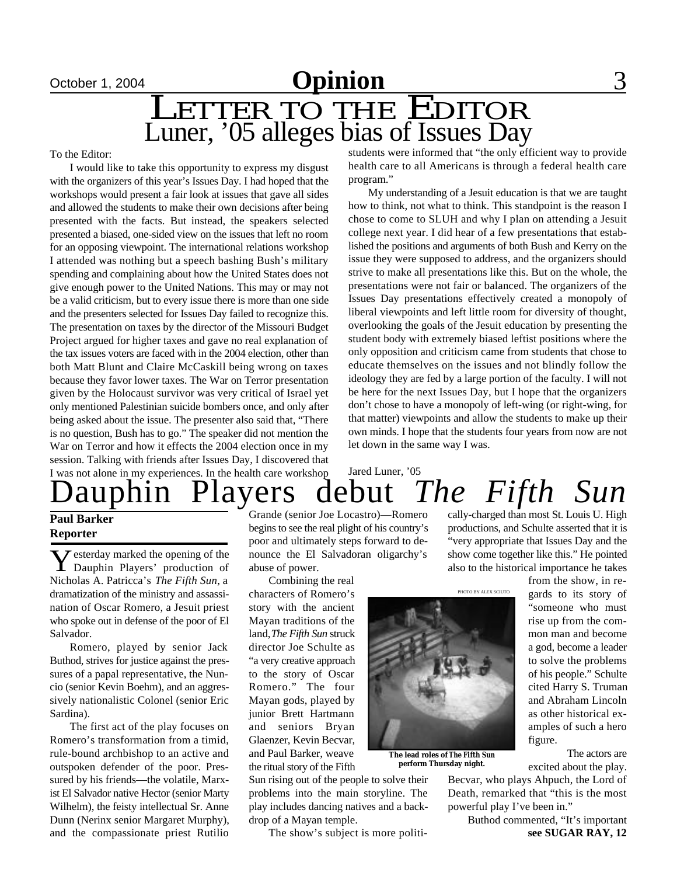## October 1, 2004 **Commercies** 3

LETTER TO THE EDITOR Luner, '05 alleges bias of Issues Day

To the Editor:

I would like to take this opportunity to express my disgust with the organizers of this year's Issues Day. I had hoped that the workshops would present a fair look at issues that gave all sides and allowed the students to make their own decisions after being presented with the facts. But instead, the speakers selected presented a biased, one-sided view on the issues that left no room for an opposing viewpoint. The international relations workshop I attended was nothing but a speech bashing Bush's military spending and complaining about how the United States does not give enough power to the United Nations. This may or may not be a valid criticism, but to every issue there is more than one side and the presenters selected for Issues Day failed to recognize this. The presentation on taxes by the director of the Missouri Budget Project argued for higher taxes and gave no real explanation of the tax issues voters are faced with in the 2004 election, other than both Matt Blunt and Claire McCaskill being wrong on taxes because they favor lower taxes. The War on Terror presentation given by the Holocaust survivor was very critical of Israel yet only mentioned Palestinian suicide bombers once, and only after being asked about the issue. The presenter also said that, "There is no question, Bush has to go." The speaker did not mention the War on Terror and how it effects the 2004 election once in my session. Talking with friends after Issues Day, I discovered that students were informed that "the only efficient way to provide health care to all Americans is through a federal health care program."

My understanding of a Jesuit education is that we are taught how to think, not what to think. This standpoint is the reason I chose to come to SLUH and why I plan on attending a Jesuit college next year. I did hear of a few presentations that established the positions and arguments of both Bush and Kerry on the issue they were supposed to address, and the organizers should strive to make all presentations like this. But on the whole, the presentations were not fair or balanced. The organizers of the Issues Day presentations effectively created a monopoly of liberal viewpoints and left little room for diversity of thought, overlooking the goals of the Jesuit education by presenting the student body with extremely biased leftist positions where the only opposition and criticism came from students that chose to educate themselves on the issues and not blindly follow the ideology they are fed by a large portion of the faculty. I will not be here for the next Issues Day, but I hope that the organizers don't chose to have a monopoly of left-wing (or right-wing, for that matter) viewpoints and allow the students to make up their own minds. I hope that the students four years from now are not let down in the same way I was.

hin Players debut *The Fifth Sun* I was not alone in my experiences. In the health care workshop Jared Luner, '05

## **Paul Barker Reporter**

**Y** esterday marked the opening of the Dauphin Players' production of Dauphin Players' production of Nicholas A. Patricca's *The Fifth Sun*, a dramatization of the ministry and assassination of Oscar Romero, a Jesuit priest who spoke out in defense of the poor of El Salvador.

Romero, played by senior Jack Buthod, strives for justice against the pressures of a papal representative, the Nuncio (senior Kevin Boehm), and an aggressively nationalistic Colonel (senior Eric Sardina).

The first act of the play focuses on Romero's transformation from a timid, rule-bound archbishop to an active and outspoken defender of the poor. Pressured by his friends—the volatile, Marxist El Salvador native Hector (senior Marty Wilhelm), the feisty intellectual Sr. Anne Dunn (Nerinx senior Margaret Murphy), and the compassionate priest Rutilio

Grande (senior Joe Locastro)—Romero begins to see the real plight of his country's poor and ultimately steps forward to denounce the El Salvadoran oligarchy's abuse of power.

Combining the real characters of Romero's story with the ancient Mayan traditions of the land, *The Fifth Sun* struck director Joe Schulte as "a very creative approach to the story of Oscar Romero." The four Mayan gods, played by junior Brett Hartmann and seniors Bryan Glaenzer, Kevin Becvar, and Paul Barker, weave the ritual story of the Fifth

Sun rising out of the people to solve their problems into the main storyline. The play includes dancing natives and a backdrop of a Mayan temple.

The show's subject is more politi-<br> **see SUGAR RAY, 12** 

cally-charged than most St. Louis U. High productions, and Schulte asserted that it is "very appropriate that Issues Day and the show come together like this." He pointed also to the historical importance he takes

PHOTO BY ALEX SCIUTO



**The lead roles of** *The Fifth Sun* **perform Thursday night.**

from the show, in regards to its story of "someone who must rise up from the common man and become a god, become a leader to solve the problems of his people." Schulte

cited Harry S. Truman and Abraham Lincoln as other historical examples of such a hero figure. The actors are

excited about the play.

Becvar, who plays Ahpuch, the Lord of Death, remarked that "this is the most powerful play I've been in."

Buthod commented, "It's important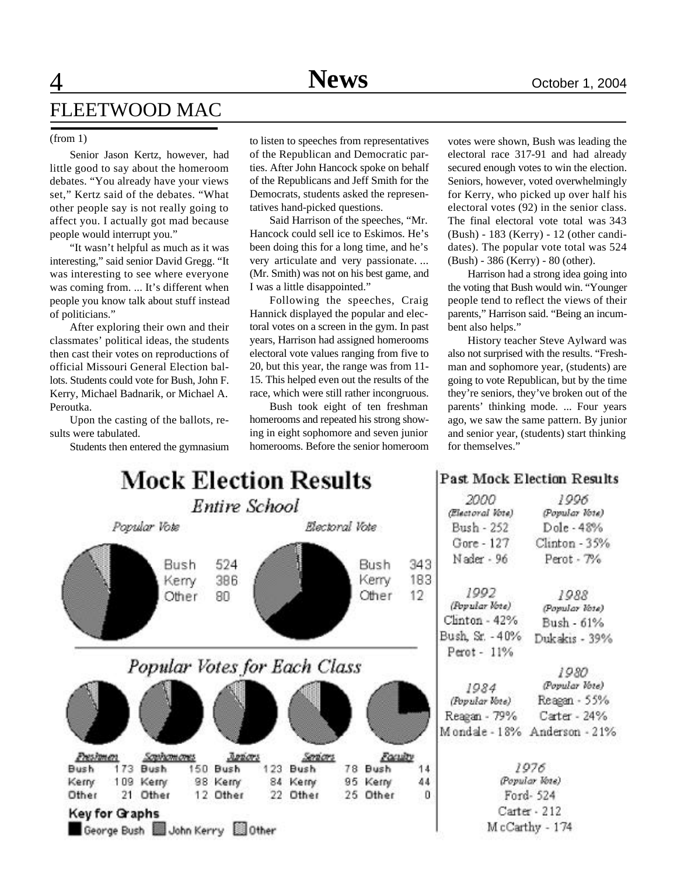## $\overline{4}$ FLEETWOOD MAC

Senior Jason Kertz, however, had little good to say about the homeroom debates. "You already have your views set," Kertz said of the debates. "What other people say is not really going to affect you. I actually got mad because people would interrupt you."

"It wasn't helpful as much as it was interesting," said senior David Gregg. "It was interesting to see where everyone was coming from. ... It's different when people you know talk about stuff instead of politicians."

After exploring their own and their classmates' political ideas, the students then cast their votes on reproductions of official Missouri General Election ballots. Students could vote for Bush, John F. Kerry, Michael Badnarik, or Michael A. Peroutka.

Upon the casting of the ballots, results were tabulated.

Students then entered the gymnasium

(from 1) to listen to speeches from representatives of the Republican and Democratic parties. After John Hancock spoke on behalf of the Republicans and Jeff Smith for the Democrats, students asked the representatives hand-picked questions.

> Said Harrison of the speeches, "Mr. Hancock could sell ice to Eskimos. He's been doing this for a long time, and he's very articulate and very passionate. ... (Mr. Smith) was not on his best game, and I was a little disappointed."

> Following the speeches, Craig Hannick displayed the popular and electoral votes on a screen in the gym. In past years, Harrison had assigned homerooms electoral vote values ranging from five to 20, but this year, the range was from 11- 15. This helped even out the results of the race, which were still rather incongruous.

> Bush took eight of ten freshman homerooms and repeated his strong showing in eight sophomore and seven junior homerooms. Before the senior homeroom

votes were shown, Bush was leading the electoral race 317-91 and had already secured enough votes to win the election. Seniors, however, voted overwhelmingly for Kerry, who picked up over half his electoral votes (92) in the senior class. The final electoral vote total was 343 (Bush) - 183 (Kerry) - 12 (other candidates). The popular vote total was 524 (Bush) - 386 (Kerry) - 80 (other).

Harrison had a strong idea going into the voting that Bush would win. "Younger people tend to reflect the views of their parents," Harrison said. "Being an incumbent also helps."

History teacher Steve Aylward was also not surprised with the results. "Freshman and sophomore year, (students) are going to vote Republican, but by the time they're seniors, they've broken out of the parents' thinking mode. ... Four years ago, we saw the same pattern. By junior and senior year, (students) start thinking for themselves."

| <b>Mock Election Results</b>                                                    |                                |                                  |                          | <b>Past Mock Election Results</b>       |                                      |
|---------------------------------------------------------------------------------|--------------------------------|----------------------------------|--------------------------|-----------------------------------------|--------------------------------------|
| Entire School                                                                   |                                |                                  | 2000<br>(Electoral Vote) | 1996<br>(Popular Vote)                  |                                      |
| Popular Vote                                                                    |                                | Electoral Vote                   |                          | Bush - 252                              | Dole - 48%                           |
| 524<br>Bush<br>386                                                              |                                | Bush                             | 343<br>183               | Gore - 127<br>Nader - 96                | Clinton - 35%<br>Perot - 7%          |
| Kerry<br>80<br>Other                                                            |                                | Kerry<br>Other                   | 12                       | 1992<br>(Popular Vote)<br>Clinton - 42% | 1988<br>(Popular Vote)<br>Bush - 61% |
|                                                                                 |                                |                                  |                          | Bush, Sr. - 40%<br>Perot - 11%          | Dukakis - 39%                        |
| Popular Votes for Each Class                                                    |                                |                                  |                          | 1984                                    | 1980<br>(Popular Vote)               |
|                                                                                 |                                |                                  |                          | (Popular Vote)<br>Reagan - 79%          | Reagan - 55%<br>Carter - 24%         |
|                                                                                 |                                |                                  |                          |                                         | Mondale - 18% Anderson - 21%         |
| <b>President</b><br><b>Juners</b><br>Screincom crees                            | Services                       | Foculty                          |                          |                                         |                                      |
| <b>Dush</b><br>173 Bush<br>150<br><b>Bush</b><br>109 Kerry<br>98 Kerry<br>Kerry | 123<br><b>Bush</b><br>84 Kerry | <b>Dush</b><br>78<br>95<br>Kerny | 14<br>44                 | 1976<br>(Popular Vote)                  |                                      |
| Other<br>12 Other<br>Other<br>21.                                               | 22 Other                       | 25<br>Other                      | л                        |                                         | Ford-524                             |
| Key for Graphs                                                                  |                                |                                  | Carter - 212             |                                         |                                      |
| George Bush John Kerry<br>0ther                                                 |                                |                                  |                          | McCarthy - 174                          |                                      |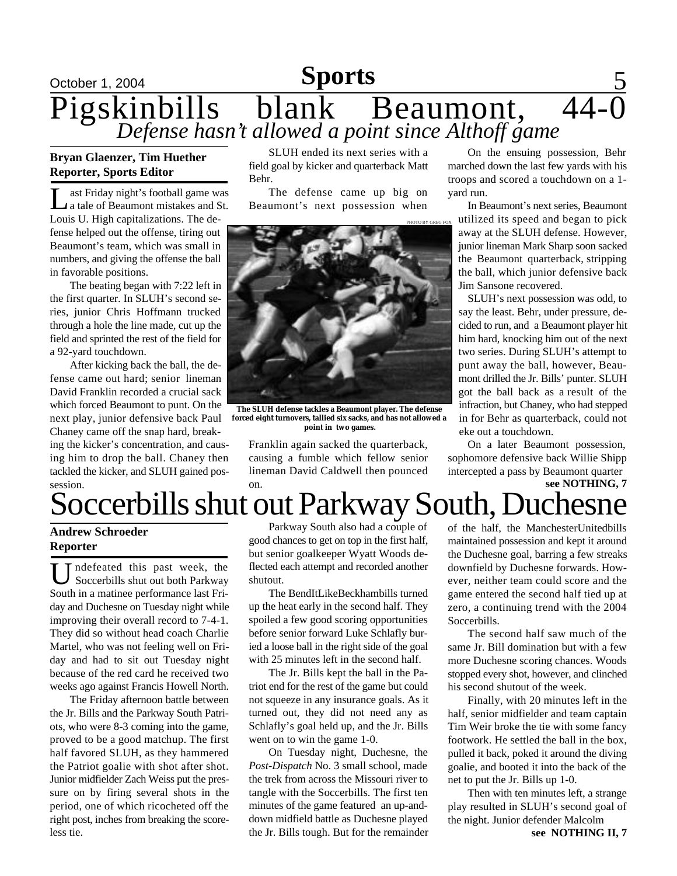## October 1, 2004 **Sports** 5 Pigskinbills blank Beaumont, 44-0 *Defense hasn't allowed a point since Althoff game*

## **Bryan Glaenzer, Tim Huether Reporter, Sports Editor**

 $\prod_{\mathbf{L}}$ ast Friday night's football game was a tale of Beaumont mistakes and St. Louis U. High capitalizations. The defense helped out the offense, tiring out Beaumont's team, which was small in numbers, and giving the offense the ball in favorable positions.

The beating began with 7:22 left in the first quarter. In SLUH's second series, junior Chris Hoffmann trucked through a hole the line made, cut up the field and sprinted the rest of the field for a 92-yard touchdown.

After kicking back the ball, the defense came out hard; senior lineman David Franklin recorded a crucial sack which forced Beaumont to punt. On the next play, junior defensive back Paul Chaney came off the snap hard, breaking the kicker's concentration, and causing him to drop the ball. Chaney then tackled the kicker, and SLUH gained possession.

SLUH ended its next series with a field goal by kicker and quarterback Matt Behr.

The defense came up big on Beaumont's next possession when



**The SLUH defense tackles a Beaumont player. The defense forced eight turnovers, tallied six sacks, and has not allowed a point in two games.**

Franklin again sacked the quarterback, causing a fumble which fellow senior lineman David Caldwell then pounced on.

On the ensuing possession, Behr marched down the last few yards with his troops and scored a touchdown on a 1 yard run.

In Beaumont's next series, Beaumont utilized its speed and began to pick away at the SLUH defense. However, junior lineman Mark Sharp soon sacked the Beaumont quarterback, stripping the ball, which junior defensive back Jim Sansone recovered.

SLUH's next possession was odd, to say the least. Behr, under pressure, decided to run, and a Beaumont player hit him hard, knocking him out of the next two series. During SLUH's attempt to punt away the ball, however, Beaumont drilled the Jr. Bills' punter. SLUH got the ball back as a result of the infraction, but Chaney, who had stepped in for Behr as quarterback, could not eke out a touchdown.

**see NOTHING, 7** On a later Beaumont possession, sophomore defensive back Willie Shipp intercepted a pass by Beaumont quarter

## Soccerbills shut out Parkway South, Duchesne

## **Andrew Schroeder Reporter**

U ndefeated this past week, the Soccerbills shut out both Parkway South in a matinee performance last Friday and Duchesne on Tuesday night while improving their overall record to 7-4-1. They did so without head coach Charlie Martel, who was not feeling well on Friday and had to sit out Tuesday night because of the red card he received two weeks ago against Francis Howell North.

The Friday afternoon battle between the Jr. Bills and the Parkway South Patriots, who were 8-3 coming into the game, proved to be a good matchup. The first half favored SLUH, as they hammered the Patriot goalie with shot after shot. Junior midfielder Zach Weiss put the pressure on by firing several shots in the period, one of which ricocheted off the right post, inches from breaking the scoreless tie.

Parkway South also had a couple of good chances to get on top in the first half, but senior goalkeeper Wyatt Woods deflected each attempt and recorded another shutout.

The BendItLikeBeckhambills turned up the heat early in the second half. They spoiled a few good scoring opportunities before senior forward Luke Schlafly buried a loose ball in the right side of the goal with 25 minutes left in the second half.

The Jr. Bills kept the ball in the Patriot end for the rest of the game but could not squeeze in any insurance goals. As it turned out, they did not need any as Schlafly's goal held up, and the Jr. Bills went on to win the game 1-0.

On Tuesday night, Duchesne, the *Post-Dispatch* No. 3 small school, made the trek from across the Missouri river to tangle with the Soccerbills. The first ten minutes of the game featured an up-anddown midfield battle as Duchesne played the Jr. Bills tough. But for the remainder

of the half, the ManchesterUnitedbills maintained possession and kept it around the Duchesne goal, barring a few streaks downfield by Duchesne forwards. However, neither team could score and the game entered the second half tied up at zero, a continuing trend with the 2004 Soccerbills.

The second half saw much of the same Jr. Bill domination but with a few more Duchesne scoring chances. Woods stopped every shot, however, and clinched his second shutout of the week.

Finally, with 20 minutes left in the half, senior midfielder and team captain Tim Weir broke the tie with some fancy footwork. He settled the ball in the box, pulled it back, poked it around the diving goalie, and booted it into the back of the net to put the Jr. Bills up 1-0.

Then with ten minutes left, a strange play resulted in SLUH's second goal of the night. Junior defender Malcolm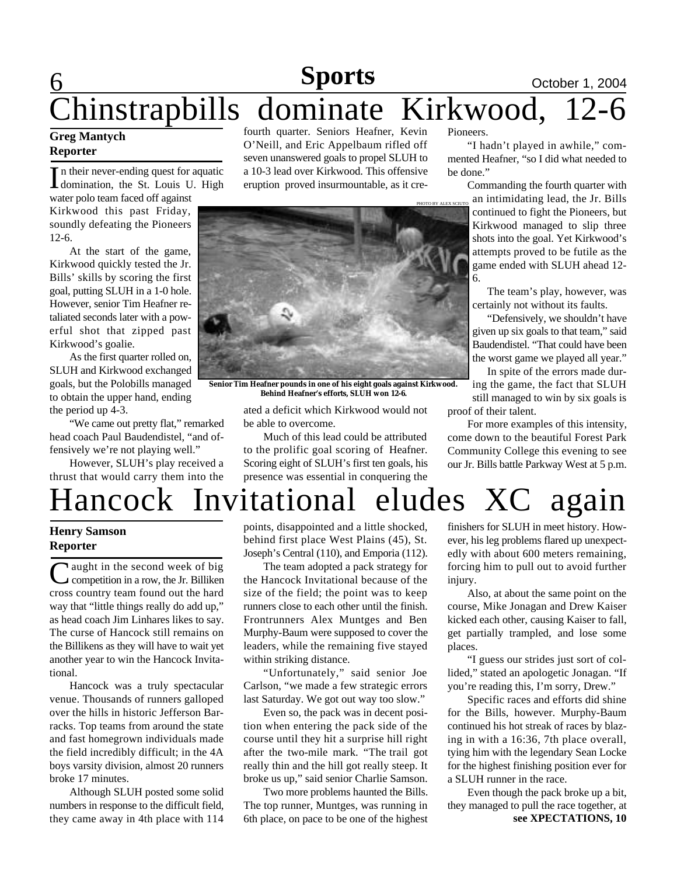## $\mathbf 6$ **Sports October 1, 2004** Chinstrapbills dominate Kirkwood, 12-6

## **Greg Mantych Reporter**

In their never-ending quest for aquatic<br>domination, the St. Louis U. High n their never-ending quest for aquatic water polo team faced off against Kirkwood this past Friday,

soundly defeating the Pioneers 12-6.

At the start of the game, Kirkwood quickly tested the Jr. Bills' skills by scoring the first goal, putting SLUH in a 1-0 hole. However, senior Tim Heafner retaliated seconds later with a powerful shot that zipped past Kirkwood's goalie.

As the first quarter rolled on, SLUH and Kirkwood exchanged goals, but the Polobills managed to obtain the upper hand, ending the period up 4-3.

"We came out pretty flat," remarked head coach Paul Baudendistel, "and offensively we're not playing well."

However, SLUH's play received a thrust that would carry them into the fourth quarter. Seniors Heafner, Kevin O'Neill, and Eric Appelbaum rifled off seven unanswered goals to propel SLUH to a 10-3 lead over Kirkwood. This offensive eruption proved insurmountable, as it cre-



**Senior Tim Heafner pounds in one of his eight goals against Kirkwood. Behind Heafner's efforts, SLUH won 12-6.**

ated a deficit which Kirkwood would not be able to overcome.

Much of this lead could be attributed to the prolific goal scoring of Heafner. Scoring eight of SLUH's first ten goals, his presence was essential in conquering the Pioneers.

"I hadn't played in awhile," commented Heafner, "so I did what needed to be done."

> Commanding the fourth quarter with an intimidating lead, the Jr. Bills continued to fight the Pioneers, but Kirkwood managed to slip three shots into the goal. Yet Kirkwood's attempts proved to be futile as the game ended with SLUH ahead 12- 6.

The team's play, however, was certainly not without its faults.

"Defensively, we shouldn't have given up six goals to that team," said Baudendistel. "That could have been the worst game we played all year."

In spite of the errors made during the game, the fact that SLUH still managed to win by six goals is

proof of their talent.

For more examples of this intensity, come down to the beautiful Forest Park Community College this evening to see our Jr. Bills battle Parkway West at 5 p.m.

## Hancock Invitational eludes XC again

## **Henry Samson Reporter**

U aught in the second week of big<br>
C competition in a row, the Jr. Billiken competition in a row, the Jr. Billiken cross country team found out the hard way that "little things really do add up," as head coach Jim Linhares likes to say. The curse of Hancock still remains on the Billikens as they will have to wait yet another year to win the Hancock Invitational.

Hancock was a truly spectacular venue. Thousands of runners galloped over the hills in historic Jefferson Barracks. Top teams from around the state and fast homegrown individuals made the field incredibly difficult; in the 4A boys varsity division, almost 20 runners broke 17 minutes.

Although SLUH posted some solid numbers in response to the difficult field, they came away in 4th place with 114

points, disappointed and a little shocked, behind first place West Plains (45), St. Joseph's Central (110), and Emporia (112).

The team adopted a pack strategy for the Hancock Invitational because of the size of the field; the point was to keep runners close to each other until the finish. Frontrunners Alex Muntges and Ben Murphy-Baum were supposed to cover the leaders, while the remaining five stayed within striking distance.

"Unfortunately," said senior Joe Carlson, "we made a few strategic errors last Saturday. We got out way too slow."

Even so, the pack was in decent position when entering the pack side of the course until they hit a surprise hill right after the two-mile mark. "The trail got really thin and the hill got really steep. It broke us up," said senior Charlie Samson.

Two more problems haunted the Bills. The top runner, Muntges, was running in 6th place, on pace to be one of the highest

finishers for SLUH in meet history. However, his leg problems flared up unexpectedly with about 600 meters remaining, forcing him to pull out to avoid further injury.

Also, at about the same point on the course, Mike Jonagan and Drew Kaiser kicked each other, causing Kaiser to fall, get partially trampled, and lose some places.

"I guess our strides just sort of collided," stated an apologetic Jonagan. "If you're reading this, I'm sorry, Drew."

Specific races and efforts did shine for the Bills, however. Murphy-Baum continued his hot streak of races by blazing in with a 16:36, 7th place overall, tying him with the legendary Sean Locke for the highest finishing position ever for a SLUH runner in the race.

Even though the pack broke up a bit, they managed to pull the race together, at **see XPECTATIONS, 10**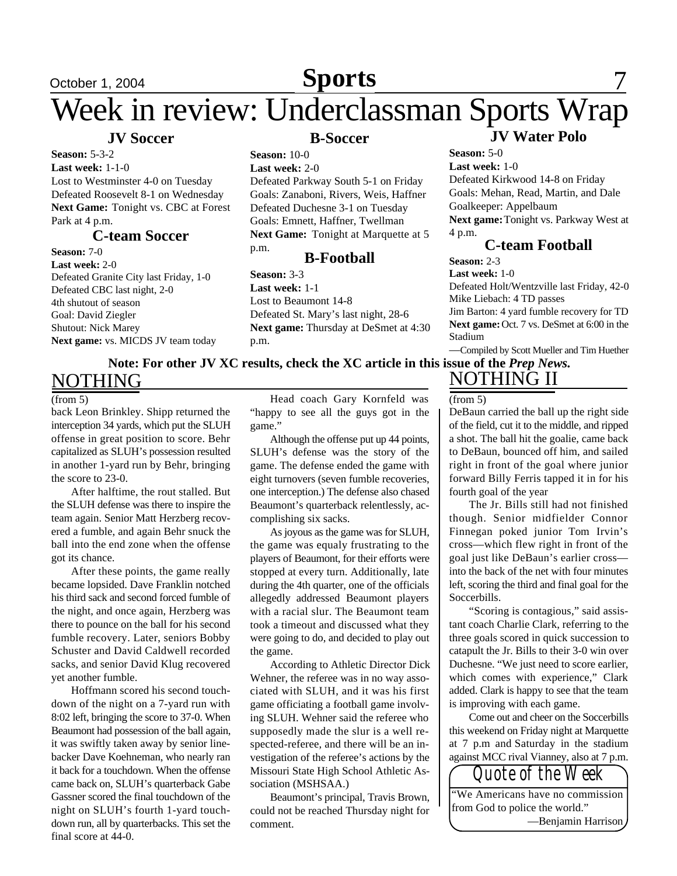## October 1, 2004 **Sports** 7 **Sports**

## Week in review: Underclassman Sports Wrap

## **JV Soccer**

**Season:** 5-3-2 **Last week:** 1-1-0 Lost to Westminster 4-0 on Tuesday Defeated Roosevelt 8-1 on Wednesday **Next Game:** Tonight vs. CBC at Forest Park at 4 p.m.

## **C-team Soccer**

**Season:** 7-0 **Last week:** 2-0 Defeated Granite City last Friday, 1-0 Defeated CBC last night, 2-0 4th shutout of season Goal: David Ziegler Shutout: Nick Marey **Next game:** vs. MICDS JV team today

## **B-Soccer**

## **Season:** 10-0

**Last week:** 2-0

Defeated Parkway South 5-1 on Friday Goals: Zanaboni, Rivers, Weis, Haffner Defeated Duchesne 3-1 on Tuesday Goals: Emnett, Haffner, Twellman **Next Game:** Tonight at Marquette at 5 p.m.

## **B-Football**

**Season:** 3-3

**Last week:** 1-1 Lost to Beaumont 14-8 Defeated St. Mary's last night, 28-6 **Next game:** Thursday at DeSmet at 4:30 p.m.

**JV Water Polo**

**Season:** 5-0 **Last week:** 1-0 Defeated Kirkwood 14-8 on Friday Goals: Mehan, Read, Martin, and Dale Goalkeeper: Appelbaum Next game: Tonight vs. Parkway West at

4 p.m.

## **C-team Football**

**Season:** 2-3 **Last week:** 1-0

Defeated Holt/Wentzville last Friday, 42-0 Mike Liebach: 4 TD passes

Jim Barton: 4 yard fumble recovery for TD **Next game:** Oct. 7 vs. DeSmet at 6:00 in the Stadium

—Compiled by Scott Mueller and Tim Huether

### **Note: For other JV XC results, check the XC article in this issue of the** *Prep News.* NOTHING NOTHING II

### $(from 5)$

back Leon Brinkley. Shipp returned the interception 34 yards, which put the SLUH offense in great position to score. Behr capitalized as SLUH's possession resulted in another 1-yard run by Behr, bringing the score to 23-0.

After halftime, the rout stalled. But the SLUH defense was there to inspire the team again. Senior Matt Herzberg recovered a fumble, and again Behr snuck the ball into the end zone when the offense got its chance.

After these points, the game really became lopsided. Dave Franklin notched his third sack and second forced fumble of the night, and once again, Herzberg was there to pounce on the ball for his second fumble recovery. Later, seniors Bobby Schuster and David Caldwell recorded sacks, and senior David Klug recovered yet another fumble.

Hoffmann scored his second touchdown of the night on a 7-yard run with 8:02 left, bringing the score to 37-0. When Beaumont had possession of the ball again, it was swiftly taken away by senior linebacker Dave Koehneman, who nearly ran it back for a touchdown. When the offense came back on, SLUH's quarterback Gabe Gassner scored the final touchdown of the night on SLUH's fourth 1-yard touchdown run, all by quarterbacks. This set the final score at 44-0.

Head coach Gary Kornfeld was "happy to see all the guys got in the game."

Although the offense put up 44 points, SLUH's defense was the story of the game. The defense ended the game with eight turnovers (seven fumble recoveries, one interception.) The defense also chased Beaumont's quarterback relentlessly, accomplishing six sacks.

As joyous as the game was for SLUH, the game was equaly frustrating to the players of Beaumont, for their efforts were stopped at every turn. Additionally, late during the 4th quarter, one of the officials allegedly addressed Beaumont players with a racial slur. The Beaumont team took a timeout and discussed what they were going to do, and decided to play out the game.

According to Athletic Director Dick Wehner, the referee was in no way associated with SLUH, and it was his first game officiating a football game involving SLUH. Wehner said the referee who supposedly made the slur is a well respected-referee, and there will be an investigation of the referee's actions by the Missouri State High School Athletic Association (MSHSAA.)

Beaumont's principal, Travis Brown, could not be reached Thursday night for comment.

### (from 5)

DeBaun carried the ball up the right side of the field, cut it to the middle, and ripped a shot. The ball hit the goalie, came back to DeBaun, bounced off him, and sailed right in front of the goal where junior forward Billy Ferris tapped it in for his fourth goal of the year

The Jr. Bills still had not finished though. Senior midfielder Connor Finnegan poked junior Tom Irvin's cross—which flew right in front of the goal just like DeBaun's earlier cross into the back of the net with four minutes left, scoring the third and final goal for the Soccerbills.

"Scoring is contagious," said assistant coach Charlie Clark, referring to the three goals scored in quick succession to catapult the Jr. Bills to their 3-0 win over Duchesne. "We just need to score earlier, which comes with experience," Clark added. Clark is happy to see that the team is improving with each game.

Come out and cheer on the Soccerbills this weekend on Friday night at Marquette at 7 p.m and Saturday in the stadium against MCC rival Vianney, also at 7 p.m.

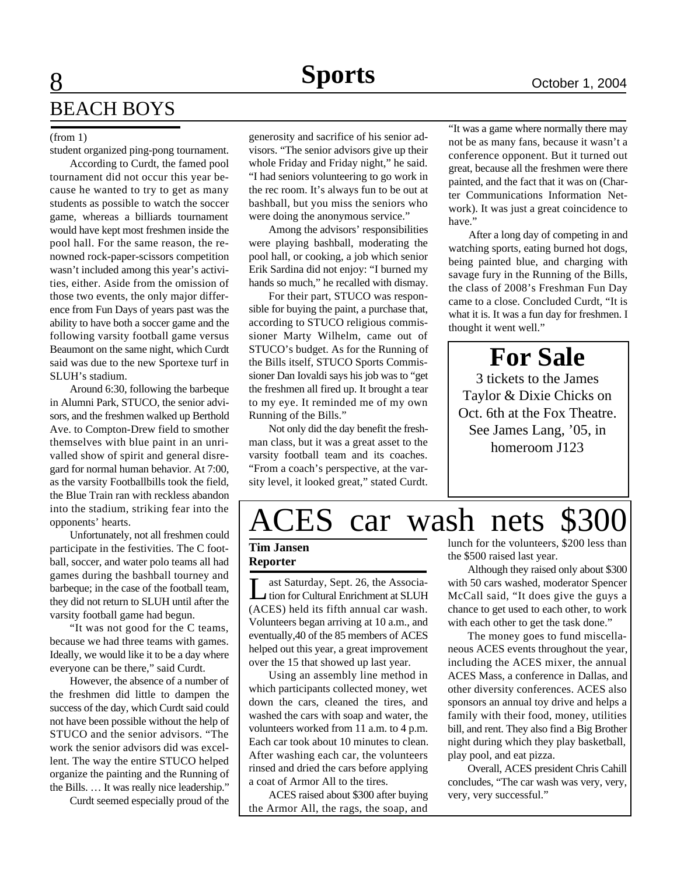## 8 BEACH BOYS

student organized ping-pong tournament.

According to Curdt, the famed pool tournament did not occur this year because he wanted to try to get as many students as possible to watch the soccer game, whereas a billiards tournament would have kept most freshmen inside the pool hall. For the same reason, the renowned rock-paper-scissors competition wasn't included among this year's activities, either. Aside from the omission of those two events, the only major difference from Fun Days of years past was the ability to have both a soccer game and the following varsity football game versus Beaumont on the same night, which Curdt said was due to the new Sportexe turf in SLUH's stadium.

Around 6:30, following the barbeque in Alumni Park, STUCO, the senior advisors, and the freshmen walked up Berthold Ave. to Compton-Drew field to smother themselves with blue paint in an unrivalled show of spirit and general disregard for normal human behavior. At 7:00, as the varsity Footballbills took the field, the Blue Train ran with reckless abandon into the stadium, striking fear into the opponents' hearts.

Unfortunately, not all freshmen could participate in the festivities. The C football, soccer, and water polo teams all had games during the bashball tourney and barbeque; in the case of the football team, they did not return to SLUH until after the varsity football game had begun.

"It was not good for the C teams, because we had three teams with games. Ideally, we would like it to be a day where everyone can be there," said Curdt.

However, the absence of a number of the freshmen did little to dampen the success of the day, which Curdt said could not have been possible without the help of STUCO and the senior advisors. "The work the senior advisors did was excellent. The way the entire STUCO helped organize the painting and the Running of the Bills. … It was really nice leadership."

Curdt seemed especially proud of the

(from 1) generosity and sacrifice of his senior advisors. "The senior advisors give up their whole Friday and Friday night," he said. "I had seniors volunteering to go work in the rec room. It's always fun to be out at bashball, but you miss the seniors who were doing the anonymous service."

> Among the advisors' responsibilities were playing bashball, moderating the pool hall, or cooking, a job which senior Erik Sardina did not enjoy: "I burned my hands so much," he recalled with dismay.

> For their part, STUCO was responsible for buying the paint, a purchase that, according to STUCO religious commissioner Marty Wilhelm, came out of STUCO's budget. As for the Running of the Bills itself, STUCO Sports Commissioner Dan Iovaldi says his job was to "get the freshmen all fired up. It brought a tear to my eye. It reminded me of my own Running of the Bills."

> Not only did the day benefit the freshman class, but it was a great asset to the varsity football team and its coaches. "From a coach's perspective, at the varsity level, it looked great," stated Curdt.

"It was a game where normally there may not be as many fans, because it wasn't a conference opponent. But it turned out great, because all the freshmen were there painted, and the fact that it was on (Charter Communications Information Network). It was just a great coincidence to have."

After a long day of competing in and watching sports, eating burned hot dogs, being painted blue, and charging with savage fury in the Running of the Bills, the class of 2008's Freshman Fun Day came to a close. Concluded Curdt, "It is what it is. It was a fun day for freshmen. I thought it went well."

## **For Sale**

3 tickets to the James Taylor & Dixie Chicks on Oct. 6th at the Fox Theatre. See James Lang, '05, in homeroom J123

## ACES car wash nets

### **Tim Jansen Reporter**

 $\prod_{\alpha \in \mathcal{A}}$ ast Saturday, Sept. 26, the Association for Cultural Enrichment at SLUH (ACES) held its fifth annual car wash. Volunteers began arriving at 10 a.m., and eventually,40 of the 85 members of ACES helped out this year, a great improvement over the 15 that showed up last year.

Using an assembly line method in which participants collected money, wet down the cars, cleaned the tires, and washed the cars with soap and water, the volunteers worked from 11 a.m. to 4 p.m. Each car took about 10 minutes to clean. After washing each car, the volunteers rinsed and dried the cars before applying a coat of Armor All to the tires.

ACES raised about \$300 after buying the Armor All, the rags, the soap, and

lunch for the volunteers, \$200 less than the \$500 raised last year.

Although they raised only about \$300 with 50 cars washed, moderator Spencer McCall said, "It does give the guys a chance to get used to each other, to work with each other to get the task done."

The money goes to fund miscellaneous ACES events throughout the year, including the ACES mixer, the annual ACES Mass, a conference in Dallas, and other diversity conferences. ACES also sponsors an annual toy drive and helps a family with their food, money, utilities bill, and rent. They also find a Big Brother night during which they play basketball, play pool, and eat pizza.

Overall, ACES president Chris Cahill concludes, "The car wash was very, very, very, very successful."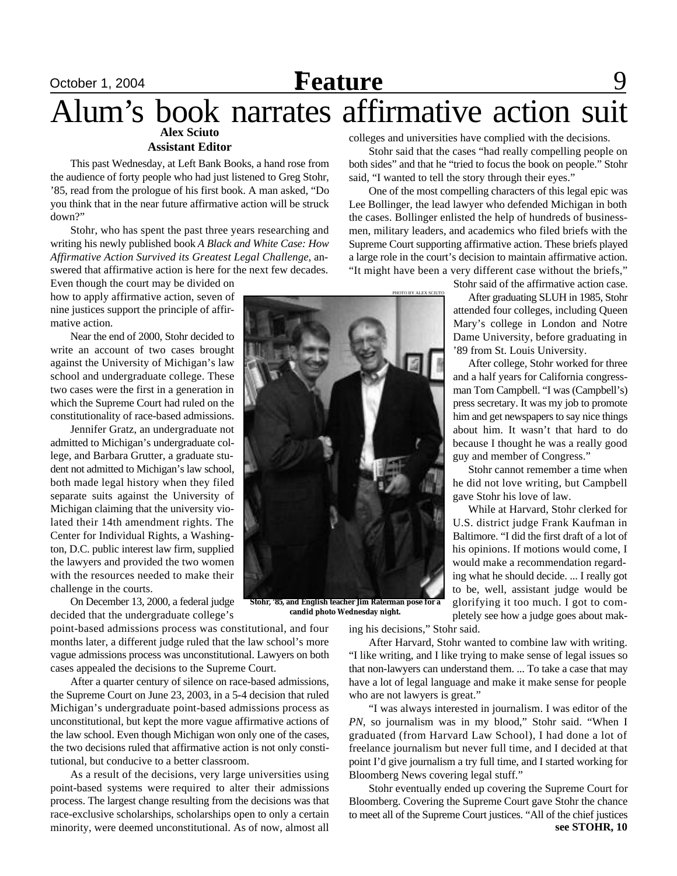## **C**Ctober 1, 2004 **Feature** 9 **Alex Sciuto** Alum's book narrates affirmative action suit

### **Assistant Editor**

This past Wednesday, at Left Bank Books, a hand rose from the audience of forty people who had just listened to Greg Stohr, '85, read from the prologue of his first book. A man asked, "Do you think that in the near future affirmative action will be struck down?"

Stohr, who has spent the past three years researching and writing his newly published book *A Black and White Case: How Affirmative Action Survived its Greatest Legal Challenge*, answered that affirmative action is here for the next few decades.

Even though the court may be divided on how to apply affirmative action, seven of nine justices support the principle of affirmative action.

Near the end of 2000, Stohr decided to write an account of two cases brought against the University of Michigan's law school and undergraduate college. These two cases were the first in a generation in which the Supreme Court had ruled on the constitutionality of race-based admissions.

Jennifer Gratz, an undergraduate not admitted to Michigan's undergraduate college, and Barbara Grutter, a graduate student not admitted to Michigan's law school, both made legal history when they filed separate suits against the University of Michigan claiming that the university violated their 14th amendment rights. The Center for Individual Rights, a Washington, D.C. public interest law firm, supplied the lawyers and provided the two women with the resources needed to make their challenge in the courts.

On December 13, 2000, a federal judge decided that the undergraduate college's

point-based admissions process was constitutional, and four months later, a different judge ruled that the law school's more vague admissions process was unconstitutional. Lawyers on both cases appealed the decisions to the Supreme Court.

After a quarter century of silence on race-based admissions, the Supreme Court on June 23, 2003, in a 5-4 decision that ruled Michigan's undergraduate point-based admissions process as unconstitutional, but kept the more vague affirmative actions of the law school. Even though Michigan won only one of the cases, the two decisions ruled that affirmative action is not only constitutional, but conducive to a better classroom.

As a result of the decisions, very large universities using point-based systems were required to alter their admissions process. The largest change resulting from the decisions was that race-exclusive scholarships, scholarships open to only a certain minority, were deemed unconstitutional. As of now, almost all

colleges and universities have complied with the decisions.

Stohr said that the cases "had really compelling people on both sides" and that he "tried to focus the book on people." Stohr said, "I wanted to tell the story through their eyes."

One of the most compelling characters of this legal epic was Lee Bollinger, the lead lawyer who defended Michigan in both the cases. Bollinger enlisted the help of hundreds of businessmen, military leaders, and academics who filed briefs with the Supreme Court supporting affirmative action. These briefs played a large role in the court's decision to maintain affirmative action. "It might have been a very different case without the briefs,"

Stohr said of the affirmative action case.

After graduating SLUH in 1985, Stohr attended four colleges, including Queen Mary's college in London and Notre Dame University, before graduating in '89 from St. Louis University.

After college, Stohr worked for three and a half years for California congressman Tom Campbell. "I was (Campbell's) press secretary. It was my job to promote him and get newspapers to say nice things about him. It wasn't that hard to do because I thought he was a really good guy and member of Congress."

Stohr cannot remember a time when he did not love writing, but Campbell gave Stohr his love of law.

While at Harvard, Stohr clerked for U.S. district judge Frank Kaufman in Baltimore. "I did the first draft of a lot of his opinions. If motions would come, I would make a recommendation regarding what he should decide. ... I really got to be, well, assistant judge would be glorifying it too much. I got to completely see how a judge goes about mak-

**Stohr, '85, and English teacher Jim Raterman pose for a candid photo Wednesday night.**

ing his decisions," Stohr said.

PHOTO BY ALEX SCIUTO

After Harvard, Stohr wanted to combine law with writing. "I like writing, and I like trying to make sense of legal issues so that non-lawyers can understand them. ... To take a case that may have a lot of legal language and make it make sense for people who are not lawyers is great."

"I was always interested in journalism. I was editor of the *PN*, so journalism was in my blood," Stohr said. "When I graduated (from Harvard Law School), I had done a lot of freelance journalism but never full time, and I decided at that point I'd give journalism a try full time, and I started working for Bloomberg News covering legal stuff."

**see STOHR, 10** Stohr eventually ended up covering the Supreme Court for Bloomberg. Covering the Supreme Court gave Stohr the chance to meet all of the Supreme Court justices. "All of the chief justices

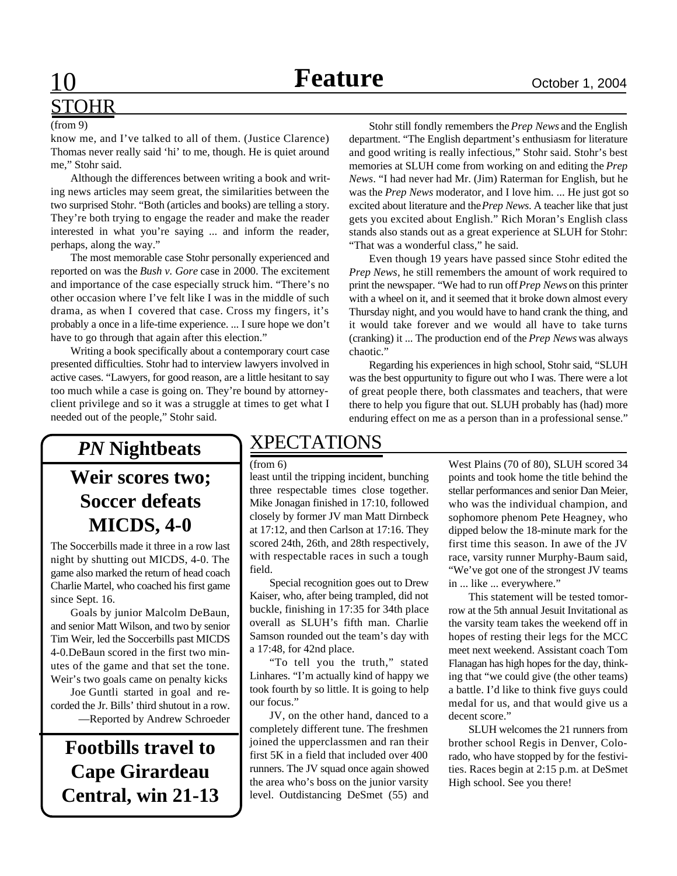# STOHR

(from 9)

know me, and I've talked to all of them. (Justice Clarence) Thomas never really said 'hi' to me, though. He is quiet around me," Stohr said.

Although the differences between writing a book and writing news articles may seem great, the similarities between the two surprised Stohr. "Both (articles and books) are telling a story. They're both trying to engage the reader and make the reader interested in what you're saying ... and inform the reader, perhaps, along the way."

The most memorable case Stohr personally experienced and reported on was the *Bush v. Gore* case in 2000. The excitement and importance of the case especially struck him. "There's no other occasion where I've felt like I was in the middle of such drama, as when I covered that case. Cross my fingers, it's probably a once in a life-time experience. ... I sure hope we don't have to go through that again after this election."

Writing a book specifically about a contemporary court case presented difficulties. Stohr had to interview lawyers involved in active cases. "Lawyers, for good reason, are a little hesitant to say too much while a case is going on. They're bound by attorneyclient privilege and so it was a struggle at times to get what I needed out of the people," Stohr said.

Stohr still fondly remembers the *Prep News* and the English department. "The English department's enthusiasm for literature and good writing is really infectious," Stohr said. Stohr's best memories at SLUH come from working on and editing the *Prep News*. "I had never had Mr. (Jim) Raterman for English, but he was the *Prep News* moderator, and I love him. ... He just got so excited about literature and the *Prep News*. A teacher like that just gets you excited about English." Rich Moran's English class stands also stands out as a great experience at SLUH for Stohr: "That was a wonderful class," he said.

Even though 19 years have passed since Stohr edited the *Prep News*, he still remembers the amount of work required to print the newspaper. "We had to run off *Prep News* on this printer with a wheel on it, and it seemed that it broke down almost every Thursday night, and you would have to hand crank the thing, and it would take forever and we would all have to take turns (cranking) it ... The production end of the *Prep News* was always chaotic."

Regarding his experiences in high school, Stohr said, "SLUH was the best oppurtunity to figure out who I was. There were a lot of great people there, both classmates and teachers, that were there to help you figure that out. SLUH probably has (had) more enduring effect on me as a person than in a professional sense."

## *PN* **Nightbeats Weir scores two; Soccer defeats MICDS, 4-0**

The Soccerbills made it three in a row last night by shutting out MICDS, 4-0. The game also marked the return of head coach Charlie Martel, who coached his first game since Sept. 16.

Goals by junior Malcolm DeBaun, and senior Matt Wilson, and two by senior Tim Weir, led the Soccerbills past MICDS 4-0.DeBaun scored in the first two minutes of the game and that set the tone. Weir's two goals came on penalty kicks

Joe Guntli started in goal and recorded the Jr. Bills' third shutout in a row. —Reported by Andrew Schroeder

**Footbills travel to Cape Girardeau Central, win 21-13**

## XPECTATIONS

### (from 6)

least until the tripping incident, bunching three respectable times close together. Mike Jonagan finished in 17:10, followed closely by former JV man Matt Dirnbeck at 17:12, and then Carlson at 17:16. They scored 24th, 26th, and 28th respectively, with respectable races in such a tough field.

Special recognition goes out to Drew Kaiser, who, after being trampled, did not buckle, finishing in 17:35 for 34th place overall as SLUH's fifth man. Charlie Samson rounded out the team's day with a 17:48, for 42nd place.

"To tell you the truth," stated Linhares. "I'm actually kind of happy we took fourth by so little. It is going to help our focus."

JV, on the other hand, danced to a completely different tune. The freshmen joined the upperclassmen and ran their first 5K in a field that included over 400 runners. The JV squad once again showed the area who's boss on the junior varsity level. Outdistancing DeSmet (55) and

West Plains (70 of 80), SLUH scored 34 points and took home the title behind the stellar performances and senior Dan Meier, who was the individual champion, and sophomore phenom Pete Heagney, who dipped below the 18-minute mark for the first time this season. In awe of the JV race, varsity runner Murphy-Baum said, "We've got one of the strongest JV teams in ... like ... everywhere."

This statement will be tested tomorrow at the 5th annual Jesuit Invitational as the varsity team takes the weekend off in hopes of resting their legs for the MCC meet next weekend. Assistant coach Tom Flanagan has high hopes for the day, thinking that "we could give (the other teams) a battle. I'd like to think five guys could medal for us, and that would give us a decent score."

SLUH welcomes the 21 runners from brother school Regis in Denver, Colorado, who have stopped by for the festivities. Races begin at 2:15 p.m. at DeSmet High school. See you there!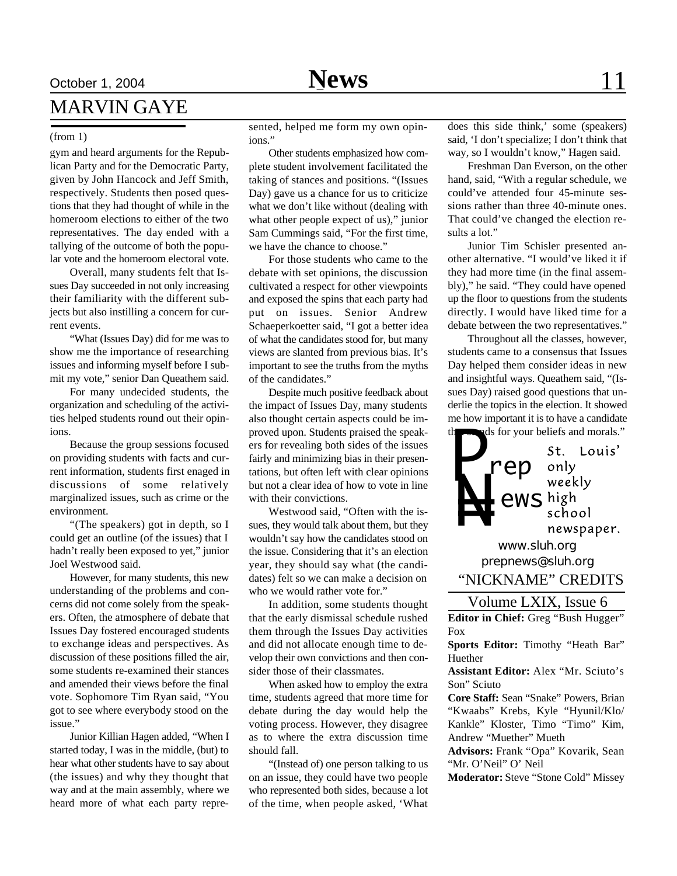## **October 1, 2004 News** 11 MARVIN GAYE

### (from 1)

gym and heard arguments for the Republican Party and for the Democratic Party, given by John Hancock and Jeff Smith, respectively. Students then posed questions that they had thought of while in the homeroom elections to either of the two representatives. The day ended with a tallying of the outcome of both the popular vote and the homeroom electoral vote.

Overall, many students felt that Issues Day succeeded in not only increasing their familiarity with the different subjects but also instilling a concern for current events.

"What (Issues Day) did for me was to show me the importance of researching issues and informing myself before I submit my vote," senior Dan Queathem said.

For many undecided students, the organization and scheduling of the activities helped students round out their opinions.

Because the group sessions focused on providing students with facts and current information, students first enaged in discussions of some relatively marginalized issues, such as crime or the environment.

"(The speakers) got in depth, so I could get an outline (of the issues) that I hadn't really been exposed to yet," junior Joel Westwood said.

However, for many students, this new understanding of the problems and concerns did not come solely from the speakers. Often, the atmosphere of debate that Issues Day fostered encouraged students to exchange ideas and perspectives. As discussion of these positions filled the air, some students re-examined their stances and amended their views before the final vote. Sophomore Tim Ryan said, "You got to see where everybody stood on the issue."

Junior Killian Hagen added, "When I started today, I was in the middle, (but) to hear what other students have to say about (the issues) and why they thought that way and at the main assembly, where we heard more of what each party represented, helped me form my own opinions."

Other students emphasized how complete student involvement facilitated the taking of stances and positions. "(Issues Day) gave us a chance for us to criticize what we don't like without (dealing with what other people expect of us)," junior Sam Cummings said, "For the first time, we have the chance to choose."

For those students who came to the debate with set opinions, the discussion cultivated a respect for other viewpoints and exposed the spins that each party had put on issues. Senior Andrew Schaeperkoetter said, "I got a better idea of what the candidates stood for, but many views are slanted from previous bias. It's important to see the truths from the myths of the candidates."

Despite much positive feedback about the impact of Issues Day, many students also thought certain aspects could be improved upon. Students praised the speakers for revealing both sides of the issues fairly and minimizing bias in their presentations, but often left with clear opinions but not a clear idea of how to vote in line with their convictions.

Westwood said, "Often with the issues, they would talk about them, but they wouldn't say how the candidates stood on the issue. Considering that it's an election year, they should say what (the candidates) felt so we can make a decision on who we would rather vote for."

In addition, some students thought that the early dismissal schedule rushed them through the Issues Day activities and did not allocate enough time to develop their own convictions and then consider those of their classmates.

When asked how to employ the extra time, students agreed that more time for debate during the day would help the voting process. However, they disagree as to where the extra discussion time should fall.

"(Instead of) one person talking to us on an issue, they could have two people who represented both sides, because a lot of the time, when people asked, 'What

does this side think,' some (speakers) said, 'I don't specialize; I don't think that way, so I wouldn't know," Hagen said.

Freshman Dan Everson, on the other hand, said, "With a regular schedule, we could've attended four 45-minute sessions rather than three 40-minute ones. That could've changed the election results a lot."

Junior Tim Schisler presented another alternative. "I would've liked it if they had more time (in the final assembly)," he said. "They could have opened up the floor to questions from the students directly. I would have liked time for a debate between the two representatives."

Throughout all the classes, however, students came to a consensus that Issues Day helped them consider ideas in new and insightful ways. Queathem said, "(Issues Day) raised good questions that underlie the topics in the election. It showed me how important it is to have a candidate ds for your beliefs and morals."



## Volume LXIX, Issue 6

**Editor in Chief:** Greg "Bush Hugger" Fox

**Sports Editor:** Timothy "Heath Bar" Huether

**Assistant Editor:** Alex "Mr. Sciuto's Son" Sciuto

**Core Staff:** Sean "Snake" Powers, Brian "Kwaabs" Krebs, Kyle "Hyunil/Klo/ Kankle" Kloster, Timo "Timo" Kim, Andrew "Muether" Mueth

**Advisors:** Frank "Opa" Kovarik, Sean "Mr. O'Neil" O' Neil

**Moderator:** Steve "Stone Cold" Missey